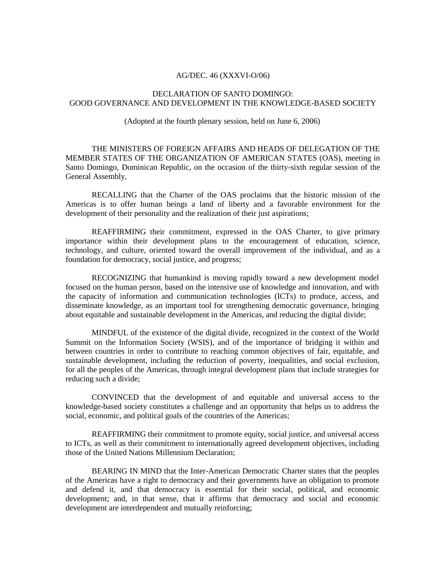## AG/DEC. 46 (XXXVI-O/06)

## DECLARATION OF SANTO DOMINGO: GOOD GOVERNANCE AND DEVELOPMENT IN THE KNOWLEDGE-BASED SOCIETY

(Adopted at the fourth plenary session, held on June 6, 2006)

THE MINISTERS OF FOREIGN AFFAIRS AND HEADS OF DELEGATION OF THE MEMBER STATES OF THE ORGANIZATION OF AMERICAN STATES (OAS), meeting in Santo Domingo, Dominican Republic, on the occasion of the thirty-sixth regular session of the General Assembly,

RECALLING that the Charter of the OAS proclaims that the historic mission of the Americas is to offer human beings a land of liberty and a favorable environment for the development of their personality and the realization of their just aspirations;

REAFFIRMING their commitment, expressed in the OAS Charter, to give primary importance within their development plans to the encouragement of education, science, technology, and culture, oriented toward the overall improvement of the individual, and as a foundation for democracy, social justice, and progress;

RECOGNIZING that humankind is moving rapidly toward a new development model focused on the human person, based on the intensive use of knowledge and innovation, and with the capacity of information and communication technologies (ICTs) to produce, access, and disseminate knowledge, as an important tool for strengthening democratic governance, bringing about equitable and sustainable development in the Americas, and reducing the digital divide;

MINDFUL of the existence of the digital divide, recognized in the context of the World Summit on the Information Society (WSIS), and of the importance of bridging it within and between countries in order to contribute to reaching common objectives of fair, equitable, and sustainable development, including the reduction of poverty, inequalities, and social exclusion, for all the peoples of the Americas, through integral development plans that include strategies for reducing such a divide;

CONVINCED that the development of and equitable and universal access to the knowledge-based society constitutes a challenge and an opportunity that helps us to address the social, economic, and political goals of the countries of the Americas;

REAFFIRMING their commitment to promote equity, social justice, and universal access to ICTs, as well as their commitment to internationally agreed development objectives, including those of the United Nations Millennium Declaration;

BEARING IN MIND that the Inter-American Democratic Charter states that the peoples of the Americas have a right to democracy and their governments have an obligation to promote and defend it, and that democracy is essential for their social, political, and economic development; and, in that sense, that it affirms that democracy and social and economic development are interdependent and mutually reinforcing;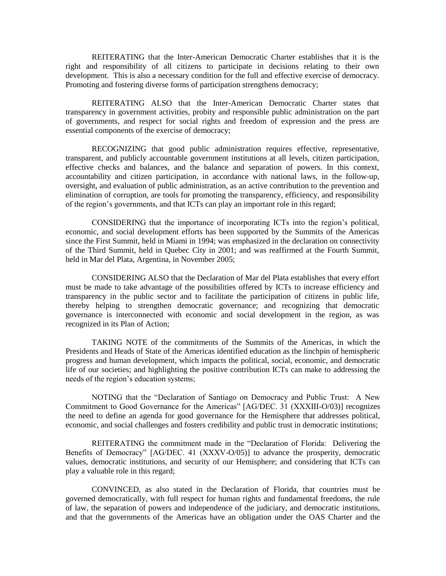REITERATING that the Inter-American Democratic Charter establishes that it is the right and responsibility of all citizens to participate in decisions relating to their own development. This is also a necessary condition for the full and effective exercise of democracy. Promoting and fostering diverse forms of participation strengthens democracy;

REITERATING ALSO that the Inter-American Democratic Charter states that transparency in government activities, probity and responsible public administration on the part of governments, and respect for social rights and freedom of expression and the press are essential components of the exercise of democracy;

RECOGNIZING that good public administration requires effective, representative, transparent, and publicly accountable government institutions at all levels, citizen participation, effective checks and balances, and the balance and separation of powers. In this context, accountability and citizen participation, in accordance with national laws, in the follow-up, oversight, and evaluation of public administration, as an active contribution to the prevention and elimination of corruption, are tools for promoting the transparency, efficiency, and responsibility of the region's governments, and that ICTs can play an important role in this regard;

CONSIDERING that the importance of incorporating ICTs into the region's political, economic, and social development efforts has been supported by the Summits of the Americas since the First Summit, held in Miami in 1994; was emphasized in the declaration on connectivity of the Third Summit, held in Quebec City in 2001; and was reaffirmed at the Fourth Summit, held in Mar del Plata, Argentina, in November 2005;

CONSIDERING ALSO that the Declaration of Mar del Plata establishes that every effort must be made to take advantage of the possibilities offered by ICTs to increase efficiency and transparency in the public sector and to facilitate the participation of citizens in public life, thereby helping to strengthen democratic governance; and recognizing that democratic governance is interconnected with economic and social development in the region, as was recognized in its Plan of Action;

TAKING NOTE of the commitments of the Summits of the Americas, in which the Presidents and Heads of State of the Americas identified education as the linchpin of hemispheric progress and human development, which impacts the political, social, economic, and democratic life of our societies; and highlighting the positive contribution ICTs can make to addressing the needs of the region's education systems;

NOTING that the "Declaration of Santiago on Democracy and Public Trust: A New Commitment to Good Governance for the Americas" [AG/DEC. 31 (XXXIII-O/03)] recognizes the need to define an agenda for good governance for the Hemisphere that addresses political, economic, and social challenges and fosters credibility and public trust in democratic institutions;

REITERATING the commitment made in the "Declaration of Florida: Delivering the Benefits of Democracy" [AG/DEC. 41 (XXXV-O/05)] to advance the prosperity, democratic values, democratic institutions, and security of our Hemisphere; and considering that ICTs can play a valuable role in this regard;

CONVINCED, as also stated in the Declaration of Florida, that countries must be governed democratically, with full respect for human rights and fundamental freedoms, the rule of law, the separation of powers and independence of the judiciary, and democratic institutions, and that the governments of the Americas have an obligation under the OAS Charter and the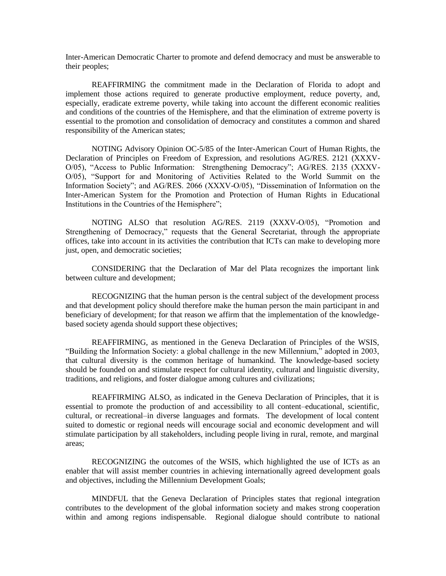Inter-American Democratic Charter to promote and defend democracy and must be answerable to their peoples;

REAFFIRMING the commitment made in the Declaration of Florida to adopt and implement those actions required to generate productive employment, reduce poverty, and, especially, eradicate extreme poverty, while taking into account the different economic realities and conditions of the countries of the Hemisphere, and that the elimination of extreme poverty is essential to the promotion and consolidation of democracy and constitutes a common and shared responsibility of the American states;

NOTING Advisory Opinion OC-5/85 of the Inter-American Court of Human Rights, the Declaration of Principles on Freedom of Expression, and resolutions AG/RES. 2121 (XXXV-O/05), "Access to Public Information: Strengthening Democracy"; AG/RES. 2135 (XXXV-O/05), "Support for and Monitoring of Activities Related to the World Summit on the Information Society"; and AG/RES. 2066 (XXXV-O/05), "Dissemination of Information on the Inter-American System for the Promotion and Protection of Human Rights in Educational Institutions in the Countries of the Hemisphere";

NOTING ALSO that resolution AG/RES. 2119 (XXXV-O/05), "Promotion and Strengthening of Democracy," requests that the General Secretariat, through the appropriate offices, take into account in its activities the contribution that ICTs can make to developing more just, open, and democratic societies;

CONSIDERING that the Declaration of Mar del Plata recognizes the important link between culture and development;

RECOGNIZING that the human person is the central subject of the development process and that development policy should therefore make the human person the main participant in and beneficiary of development; for that reason we affirm that the implementation of the knowledgebased society agenda should support these objectives;

REAFFIRMING, as mentioned in the Geneva Declaration of Principles of the WSIS, "Building the Information Society: a global challenge in the new Millennium," adopted in 2003, that cultural diversity is the common heritage of humankind. The knowledge-based society should be founded on and stimulate respect for cultural identity, cultural and linguistic diversity, traditions, and religions, and foster dialogue among cultures and civilizations;

REAFFIRMING ALSO, as indicated in the Geneva Declaration of Principles, that it is essential to promote the production of and accessibility to all content–educational, scientific, cultural, or recreational–in diverse languages and formats. The development of local content suited to domestic or regional needs will encourage social and economic development and will stimulate participation by all stakeholders, including people living in rural, remote, and marginal areas;

RECOGNIZING the outcomes of the WSIS, which highlighted the use of ICTs as an enabler that will assist member countries in achieving internationally agreed development goals and objectives, including the Millennium Development Goals;

MINDFUL that the Geneva Declaration of Principles states that regional integration contributes to the development of the global information society and makes strong cooperation within and among regions indispensable. Regional dialogue should contribute to national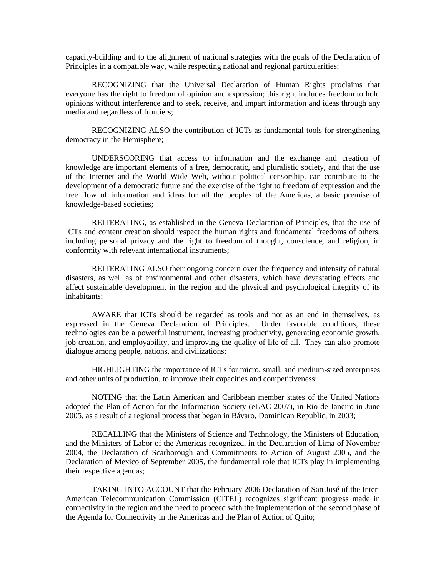capacity-building and to the alignment of national strategies with the goals of the Declaration of Principles in a compatible way, while respecting national and regional particularities;

RECOGNIZING that the Universal Declaration of Human Rights proclaims that everyone has the right to freedom of opinion and expression; this right includes freedom to hold opinions without interference and to seek, receive, and impart information and ideas through any media and regardless of frontiers;

RECOGNIZING ALSO the contribution of ICTs as fundamental tools for strengthening democracy in the Hemisphere;

UNDERSCORING that access to information and the exchange and creation of knowledge are important elements of a free, democratic, and pluralistic society, and that the use of the Internet and the World Wide Web, without political censorship, can contribute to the development of a democratic future and the exercise of the right to freedom of expression and the free flow of information and ideas for all the peoples of the Americas, a basic premise of knowledge-based societies;

REITERATING, as established in the Geneva Declaration of Principles, that the use of ICTs and content creation should respect the human rights and fundamental freedoms of others, including personal privacy and the right to freedom of thought, conscience, and religion, in conformity with relevant international instruments;

REITERATING ALSO their ongoing concern over the frequency and intensity of natural disasters, as well as of environmental and other disasters, which have devastating effects and affect sustainable development in the region and the physical and psychological integrity of its inhabitants;

AWARE that ICTs should be regarded as tools and not as an end in themselves, as expressed in the Geneva Declaration of Principles. Under favorable conditions, these technologies can be a powerful instrument, increasing productivity, generating economic growth, job creation, and employability, and improving the quality of life of all. They can also promote dialogue among people, nations, and civilizations;

HIGHLIGHTING the importance of ICTs for micro, small, and medium-sized enterprises and other units of production, to improve their capacities and competitiveness;

NOTING that the Latin American and Caribbean member states of the United Nations adopted the Plan of Action for the Information Society (eLAC 2007), in Rio de Janeiro in June 2005, as a result of a regional process that began in Bávaro, Dominican Republic, in 2003;

RECALLING that the Ministers of Science and Technology, the Ministers of Education, and the Ministers of Labor of the Americas recognized, in the Declaration of Lima of November 2004, the Declaration of Scarborough and Commitments to Action of August 2005, and the Declaration of Mexico of September 2005, the fundamental role that ICTs play in implementing their respective agendas;

TAKING INTO ACCOUNT that the February 2006 Declaration of San José of the Inter-American Telecommunication Commission (CITEL) recognizes significant progress made in connectivity in the region and the need to proceed with the implementation of the second phase of the Agenda for Connectivity in the Americas and the Plan of Action of Quito;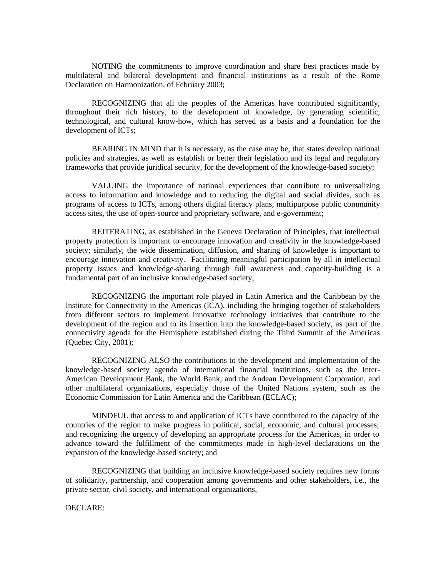NOTING the commitments to improve coordination and share best practices made by multilateral and bilateral development and financial institutions as a result of the Rome Declaration on Harmonization, of February 2003;

RECOGNIZING that all the peoples of the Americas have contributed significantly, throughout their rich history, to the development of knowledge, by generating scientific, technological, and cultural know-how, which has served as a basis and a foundation for the development of ICTs;

BEARING IN MIND that it is necessary, as the case may be, that states develop national policies and strategies, as well as establish or better their legislation and its legal and regulatory frameworks that provide juridical security, for the development of the knowledge-based society;

VALUING the importance of national experiences that contribute to universalizing access to information and knowledge and to reducing the digital and social divides, such as programs of access to ICTs, among others digital literacy plans, multipurpose public community access sites, the use of open-source and proprietary software, and e-government;

REITERATING, as established in the Geneva Declaration of Principles, that intellectual property protection is important to encourage innovation and creativity in the knowledge-based society; similarly, the wide dissemination, diffusion, and sharing of knowledge is important to encourage innovation and creativity. Facilitating meaningful participation by all in intellectual property issues and knowledge-sharing through full awareness and capacity-building is a fundamental part of an inclusive knowledge-based society;

RECOGNIZING the important role played in Latin America and the Caribbean by the Institute for Connectivity in the Americas (ICA), including the bringing together of stakeholders from different sectors to implement innovative technology initiatives that contribute to the development of the region and to its insertion into the knowledge-based society, as part of the connectivity agenda for the Hemisphere established during the Third Summit of the Americas (Quebec City, 2001);

RECOGNIZING ALSO the contributions to the development and implementation of the knowledge-based society agenda of international financial institutions, such as the Inter-American Development Bank, the World Bank, and the Andean Development Corporation, and other multilateral organizations, especially those of the United Nations system, such as the Economic Commission for Latin America and the Caribbean (ECLAC);

MINDFUL that access to and application of ICTs have contributed to the capacity of the countries of the region to make progress in political, social, economic, and cultural processes; and recognizing the urgency of developing an appropriate process for the Americas, in order to advance toward the fulfillment of the commitments made in high-level declarations on the expansion of the knowledge-based society; and

RECOGNIZING that building an inclusive knowledge-based society requires new forms of solidarity, partnership, and cooperation among governments and other stakeholders, i.e., the private sector, civil society, and international organizations,

DECLARE: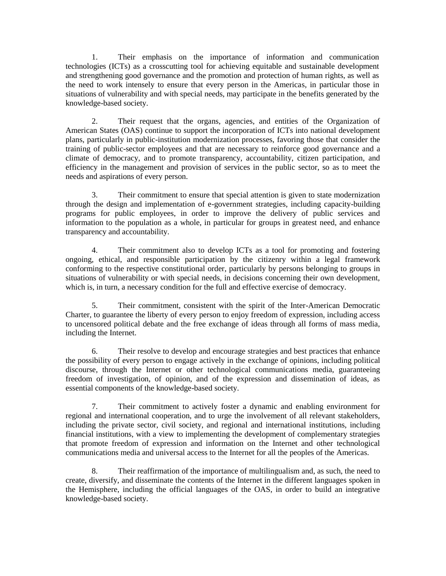1. Their emphasis on the importance of information and communication technologies (ICTs) as a crosscutting tool for achieving equitable and sustainable development and strengthening good governance and the promotion and protection of human rights, as well as the need to work intensely to ensure that every person in the Americas, in particular those in situations of vulnerability and with special needs, may participate in the benefits generated by the knowledge-based society.

2. Their request that the organs, agencies, and entities of the Organization of American States (OAS) continue to support the incorporation of ICTs into national development plans, particularly in public-institution modernization processes, favoring those that consider the training of public-sector employees and that are necessary to reinforce good governance and a climate of democracy, and to promote transparency, accountability, citizen participation, and efficiency in the management and provision of services in the public sector, so as to meet the needs and aspirations of every person.

3. Their commitment to ensure that special attention is given to state modernization through the design and implementation of e-government strategies, including capacity-building programs for public employees, in order to improve the delivery of public services and information to the population as a whole, in particular for groups in greatest need, and enhance transparency and accountability.

4. Their commitment also to develop ICTs as a tool for promoting and fostering ongoing, ethical, and responsible participation by the citizenry within a legal framework conforming to the respective constitutional order, particularly by persons belonging to groups in situations of vulnerability or with special needs, in decisions concerning their own development, which is, in turn, a necessary condition for the full and effective exercise of democracy.

5. Their commitment, consistent with the spirit of the Inter-American Democratic Charter, to guarantee the liberty of every person to enjoy freedom of expression, including access to uncensored political debate and the free exchange of ideas through all forms of mass media, including the Internet.

6. Their resolve to develop and encourage strategies and best practices that enhance the possibility of every person to engage actively in the exchange of opinions, including political discourse, through the Internet or other technological communications media, guaranteeing freedom of investigation, of opinion, and of the expression and dissemination of ideas, as essential components of the knowledge-based society.

7. Their commitment to actively foster a dynamic and enabling environment for regional and international cooperation, and to urge the involvement of all relevant stakeholders, including the private sector, civil society, and regional and international institutions, including financial institutions, with a view to implementing the development of complementary strategies that promote freedom of expression and information on the Internet and other technological communications media and universal access to the Internet for all the peoples of the Americas.

8. Their reaffirmation of the importance of multilingualism and, as such, the need to create, diversify, and disseminate the contents of the Internet in the different languages spoken in the Hemisphere, including the official languages of the OAS, in order to build an integrative knowledge-based society.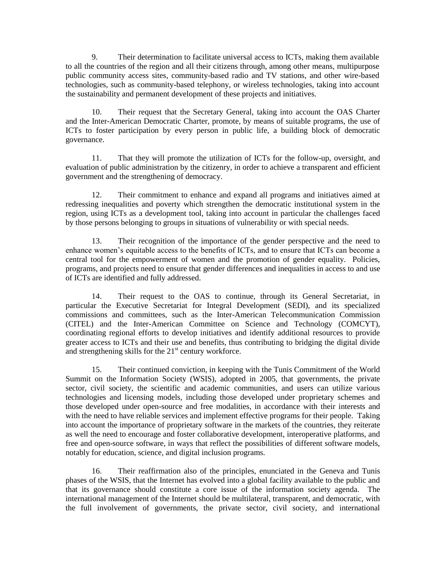9. Their determination to facilitate universal access to ICTs, making them available to all the countries of the region and all their citizens through, among other means, multipurpose public community access sites, community-based radio and TV stations, and other wire-based technologies, such as community-based telephony, or wireless technologies, taking into account the sustainability and permanent development of these projects and initiatives.

10. Their request that the Secretary General, taking into account the OAS Charter and the Inter-American Democratic Charter, promote, by means of suitable programs, the use of ICTs to foster participation by every person in public life, a building block of democratic governance.

11. That they will promote the utilization of ICTs for the follow-up, oversight, and evaluation of public administration by the citizenry, in order to achieve a transparent and efficient government and the strengthening of democracy.

12. Their commitment to enhance and expand all programs and initiatives aimed at redressing inequalities and poverty which strengthen the democratic institutional system in the region, using ICTs as a development tool, taking into account in particular the challenges faced by those persons belonging to groups in situations of vulnerability or with special needs.

13. Their recognition of the importance of the gender perspective and the need to enhance women's equitable access to the benefits of ICTs, and to ensure that ICTs can become a central tool for the empowerment of women and the promotion of gender equality. Policies, programs, and projects need to ensure that gender differences and inequalities in access to and use of ICTs are identified and fully addressed.

14. Their request to the OAS to continue, through its General Secretariat, in particular the Executive Secretariat for Integral Development (SEDI), and its specialized commissions and committees, such as the Inter-American Telecommunication Commission (CITEL) and the Inter-American Committee on Science and Technology (COMCYT), coordinating regional efforts to develop initiatives and identify additional resources to provide greater access to ICTs and their use and benefits, thus contributing to bridging the digital divide and strengthening skills for the  $21<sup>st</sup>$  century workforce.

15. Their continued conviction, in keeping with the Tunis Commitment of the World Summit on the Information Society (WSIS), adopted in 2005, that governments, the private sector, civil society, the scientific and academic communities, and users can utilize various technologies and licensing models, including those developed under proprietary schemes and those developed under open-source and free modalities, in accordance with their interests and with the need to have reliable services and implement effective programs for their people. Taking into account the importance of proprietary software in the markets of the countries, they reiterate as well the need to encourage and foster collaborative development, interoperative platforms, and free and open-source software, in ways that reflect the possibilities of different software models, notably for education, science, and digital inclusion programs.

16. Their reaffirmation also of the principles, enunciated in the Geneva and Tunis phases of the WSIS, that the Internet has evolved into a global facility available to the public and that its governance should constitute a core issue of the information society agenda. The international management of the Internet should be multilateral, transparent, and democratic, with the full involvement of governments, the private sector, civil society, and international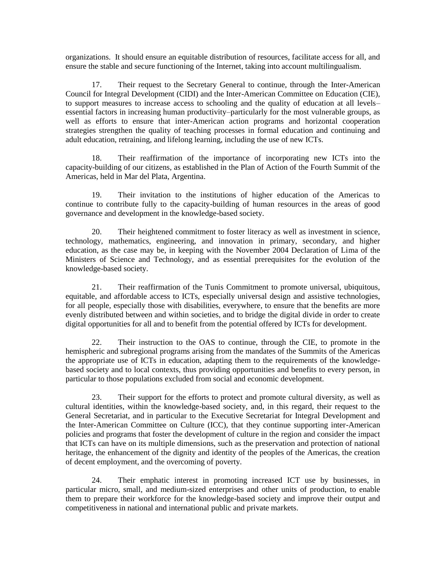organizations. It should ensure an equitable distribution of resources, facilitate access for all, and ensure the stable and secure functioning of the Internet, taking into account multilingualism.

17. Their request to the Secretary General to continue, through the Inter-American Council for Integral Development (CIDI) and the Inter-American Committee on Education (CIE), to support measures to increase access to schooling and the quality of education at all levels– essential factors in increasing human productivity–particularly for the most vulnerable groups, as well as efforts to ensure that inter-American action programs and horizontal cooperation strategies strengthen the quality of teaching processes in formal education and continuing and adult education, retraining, and lifelong learning, including the use of new ICTs.

18. Their reaffirmation of the importance of incorporating new ICTs into the capacity-building of our citizens, as established in the Plan of Action of the Fourth Summit of the Americas, held in Mar del Plata, Argentina.

19. Their invitation to the institutions of higher education of the Americas to continue to contribute fully to the capacity-building of human resources in the areas of good governance and development in the knowledge-based society.

20. Their heightened commitment to foster literacy as well as investment in science, technology, mathematics, engineering, and innovation in primary, secondary, and higher education, as the case may be, in keeping with the November 2004 Declaration of Lima of the Ministers of Science and Technology, and as essential prerequisites for the evolution of the knowledge-based society.

21. Their reaffirmation of the Tunis Commitment to promote universal, ubiquitous, equitable, and affordable access to ICTs, especially universal design and assistive technologies, for all people, especially those with disabilities, everywhere, to ensure that the benefits are more evenly distributed between and within societies, and to bridge the digital divide in order to create digital opportunities for all and to benefit from the potential offered by ICTs for development.

22. Their instruction to the OAS to continue, through the CIE, to promote in the hemispheric and subregional programs arising from the mandates of the Summits of the Americas the appropriate use of ICTs in education, adapting them to the requirements of the knowledgebased society and to local contexts, thus providing opportunities and benefits to every person, in particular to those populations excluded from social and economic development.

23. Their support for the efforts to protect and promote cultural diversity, as well as cultural identities, within the knowledge-based society, and, in this regard, their request to the General Secretariat, and in particular to the Executive Secretariat for Integral Development and the Inter-American Committee on Culture (ICC), that they continue supporting inter-American policies and programs that foster the development of culture in the region and consider the impact that ICTs can have on its multiple dimensions, such as the preservation and protection of national heritage, the enhancement of the dignity and identity of the peoples of the Americas, the creation of decent employment, and the overcoming of poverty.

24. Their emphatic interest in promoting increased ICT use by businesses, in particular micro, small, and medium-sized enterprises and other units of production, to enable them to prepare their workforce for the knowledge-based society and improve their output and competitiveness in national and international public and private markets.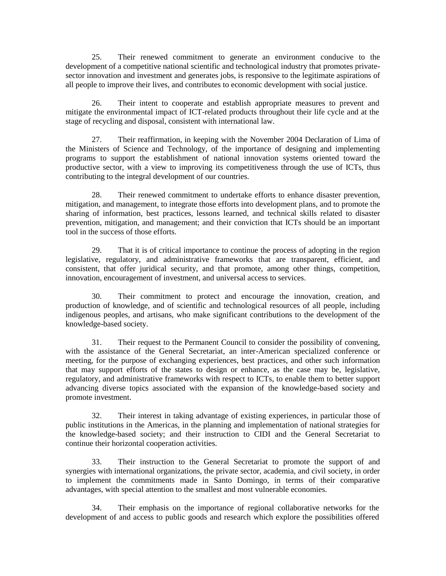25. Their renewed commitment to generate an environment conducive to the development of a competitive national scientific and technological industry that promotes privatesector innovation and investment and generates jobs, is responsive to the legitimate aspirations of all people to improve their lives, and contributes to economic development with social justice.

26. Their intent to cooperate and establish appropriate measures to prevent and mitigate the environmental impact of ICT-related products throughout their life cycle and at the stage of recycling and disposal, consistent with international law.

27. Their reaffirmation, in keeping with the November 2004 Declaration of Lima of the Ministers of Science and Technology, of the importance of designing and implementing programs to support the establishment of national innovation systems oriented toward the productive sector, with a view to improving its competitiveness through the use of ICTs, thus contributing to the integral development of our countries.

28. Their renewed commitment to undertake efforts to enhance disaster prevention, mitigation, and management, to integrate those efforts into development plans, and to promote the sharing of information, best practices, lessons learned, and technical skills related to disaster prevention, mitigation, and management; and their conviction that ICTs should be an important tool in the success of those efforts.

29. That it is of critical importance to continue the process of adopting in the region legislative, regulatory, and administrative frameworks that are transparent, efficient, and consistent, that offer juridical security, and that promote, among other things, competition, innovation, encouragement of investment, and universal access to services.

30. Their commitment to protect and encourage the innovation, creation, and production of knowledge, and of scientific and technological resources of all people, including indigenous peoples, and artisans, who make significant contributions to the development of the knowledge-based society.

31. Their request to the Permanent Council to consider the possibility of convening, with the assistance of the General Secretariat, an inter-American specialized conference or meeting, for the purpose of exchanging experiences, best practices, and other such information that may support efforts of the states to design or enhance, as the case may be, legislative, regulatory, and administrative frameworks with respect to ICTs, to enable them to better support advancing diverse topics associated with the expansion of the knowledge-based society and promote investment.

32. Their interest in taking advantage of existing experiences, in particular those of public institutions in the Americas, in the planning and implementation of national strategies for the knowledge-based society; and their instruction to CIDI and the General Secretariat to continue their horizontal cooperation activities.

33. Their instruction to the General Secretariat to promote the support of and synergies with international organizations, the private sector, academia, and civil society, in order to implement the commitments made in Santo Domingo, in terms of their comparative advantages, with special attention to the smallest and most vulnerable economies.

34. Their emphasis on the importance of regional collaborative networks for the development of and access to public goods and research which explore the possibilities offered